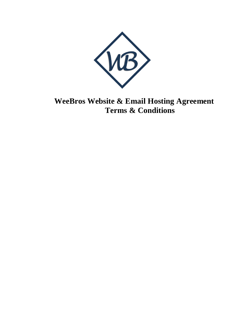

## **WeeBros Website & Email Hosting Agreement Terms & Conditions**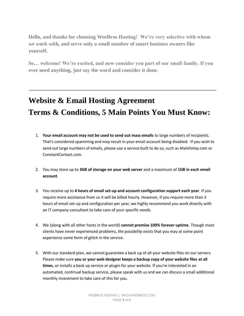**Hello, and thanks for choosing WeeBros Hosting! We're very selective with whom we work with, and serve only a small number of smart business owners like yourself.** 

**So… welcome! We're excited, and now consider you part of our small family. If you ever need anything, just say the word and consider it done.**

# **Website & Email Hosting Agreement Terms & Conditions, 5 Main Points You Must Know:**

- 1. **Your email account may not be used to send out mass emails** to large numbers of recipients. That's considered spamming and may result in your email account being disabled. If you wish to send out large numbers of emails, please use a service built to do so, such as Mailchimp.com or ConstantContact.com.
- 2. You may store up to **3GB of storage on your web server** and a maximum of **1GB in each email account**.
- 3. You receive up to **4 hours of email set‐up and account configuration support each year**. If you require more assistance from us it will be billed hourly. However, if you require more than 3 hours of email set-up and configuration per year, we highly recommend you work directly with an IT company consultant to take care of your specific needs.
- 4. We (along with all other hosts in the world) **cannot promise 100% forever uptime**. Though most clients have never experienced problems, *the possibility exists* that you may at some point experience some form of glitch in the service.
- 5. With our standard plan, we cannot guarantee a back up of all your website files on our servers. Please make sure **you or your web designer keeps a backup copy of your website files at all times**, or installs a back up service or plugin for your website. If you're interested in an automated, continual backup service, please speak with us and we can discuss a small additional monthly investment to take care of this for you.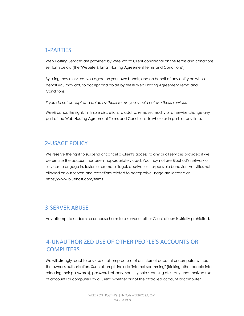#### 1-PARTIES

Web Hosting Services are provided by WeeBros to Client conditional on the terms and conditions set forth below (the "Website & Email Hosting Agreement Terms and Conditions").

By using these services, you agree on your own behalf, and on behalf of any entity on whose behalf you may act, to accept and abide by these Web Hosting Agreement Terms and Conditions.

*If you do not accept and abide by these terms, you should not use these services.* 

WeeBros has the right, in its sole discretion, to add to, remove, modify or otherwise change any part of the Web Hosting Agreement Terms and Conditions, in whole or in part, at any time.

## 2-USAGE POLICY

We reserve the right to suspend or cancel a Client's access to any or all services provided if we determine the account has been inappropriately used. You may not use Bluehost's network or services to engage in, foster, or promote illegal, abusive, or irresponsible behavior. Activities not allowed on our servers and restrictions related to acceptable usage are located at https://www.bluehost.com/terms

## 3-SERVER ABUSE

Any attempt to undermine or cause harm to a server or other Client of ours is strictly prohibited.

## 4-UNAUTHORIZED USE OF OTHER PEOPLE'S ACCOUNTS OR **COMPUTERS**

We will strongly react to any use or attempted use of an Internet account or computer without the owner's authorization. Such attempts include "internet scamming" (tricking other people into releasing their passwords), password robbery, security hole scanning etc. Any unauthorized use of accounts or computers by a Client, whether or not the attacked account or computer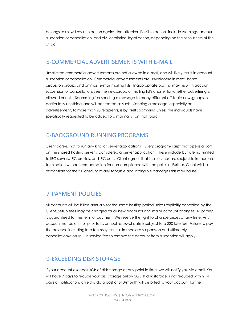belongs to us, will result in action against the attacker. Possible actions include warnings, account suspension or cancellation, and civil or criminal legal action, depending on the seriousness of the attack.

#### 5-COMMERCIAL ADVERTISEMENTS WITH E-MAIL

Unsolicited commercial advertisements are not allowed in e-mail, and will likely result in account suspension or cancellation. Commercial advertisements are unwelcome in most Usenet discussion groups and on most e-mail mailing lists. Inappropriate posting may result in account suspension or cancellation. See the newsgroup or mailing list's charter for whether advertising is allowed or not. "Spamming," or sending a message to many different off-topic newsgroups, is particularly unethical and will be treated as such. Sending a message, especially an advertisement, to more than 25 recipients, is by itself spamming unless the individuals have specifically requested to be added to a mailing list on that topic.

#### 6-BACKGROUND RUNNING PROGRAMS

Client agrees not to run any kind of 'server applications'. Every program/script that opens a port on the shared hosting server is considered a 'server application'. These include but are not limited to IRC servers, IRC proxies, and IRC bots. Client agrees that the services are subject to immediate termination without compensation for non-compliance with the policies. Further, Client will be responsible for the full amount of any tangible and intangible damages this may cause.

## 7-PAYMENT POLICIES

All accounts will be billed annually for the same hosting period unless explicitly cancelled by the Client. Setup fees may be charged for all new accounts and major account changes. All pricing is guaranteed for the term of payment. We reserve the right to change prices at any time. Any account not paid in full prior to its annual renewal date is subject to a \$20 late fee. Failure to pay the balance including late fee may result in immediate suspension and ultimately cancellation/closure. A service fee to remove the account from suspension will apply.

## 9-EXCEEDING DISK STORAGE

If your account exceeds 3GB of disk storage at any point in time, we will notify you via email. You will have 7 days to reduce your disk storage below 3GB. If disk storage is not reduced within 14 days of notification, an extra data cost of \$10/month will be billed to your account for the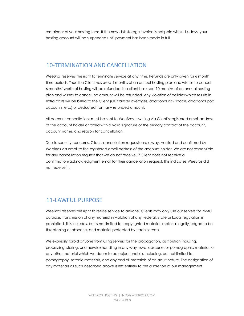remainder of your hosting term. If the new disk storage invoice is not paid within 14 days, your hosting account will be suspended until payment has been made in full.

#### 10-TERMINATION AND CANCELLATION

WeeBros reserves the right to terminate service at any time. Refunds are only given for 6 month time periods. Thus, if a Client has used 4 months of an annual hosting plan and wishes to cancel, 6 months' worth of hosting will be refunded. If a client has used 10 months of an annual hosting plan and wishes to cancel, no amount will be refunded. Any violation of policies which results in extra costs will be billed to the Client (i.e. transfer overages, additional disk space, additional pop accounts, etc.) or deducted from any refunded amount.

All account cancellations must be sent to WeeBros in writing via Client's registered email address of the account holder or faxed with a valid signature of the primary contact of the account, account name, and reason for cancellation.

Due to security concerns, Clients cancellation requests are always verified and confirmed by WeeBros via email to the registered email address of the account holder. We are not responsible for any cancellation request that we do not receive. If Client does not receive a confirmation/acknowledgment email for their cancellation request, this indicates WeeBros did not receive it.

## 11-LAWFUL PURPOSE

WeeBros reserves the right to refuse service to anyone. Clients may only use our servers for lawful purpose. Transmission of any material in violation of any Federal, State or Local regulation is prohibited. This includes, but is not limited to, copyrighted material, material legally judged to be threatening or obscene, and material protected by trade secrets.

We expressly forbid anyone from using servers for the propagation, distribution, housing, processing, storing, or otherwise handling in any way lewd, obscene, or pornographic material, or any other material which we deem to be objectionable, including, but not limited to, pornography, satanic materials, and any and all materials of an adult nature. The designation of any materials as such described above is left entirely to the discretion of our management.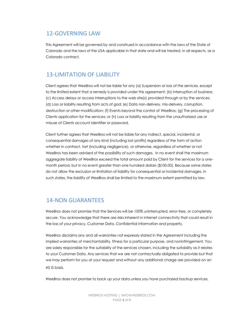## 12-GOVERNING LAW

This Agreement will be governed by and construed in accordance with the laws of the State of Colorado and the laws of the USA applicable in that state and will be treated, in all respects, as a Colorado contract.

## 13-LIMITATION OF LIABILITY

Client agrees that WeeBros will not be liable for any (a) Suspension or loss of the services, except to the limited extent that a remedy is provided under this agreement; (b) Interruption of business; (c) Access delays or access interruptions to the web site(s) provided through or by the services; (d) Loss or liability resulting from acts of god; (e) Data non-delivery, mis-delivery, corruption, destruction or other modification; (f) Events beyond the control of WeeBros; (g) The processing of Clients application for the services; or (h) Loss or liability resulting from the unauthorized use or misuse of Clients account identifier or password.

Client further agrees that WeeBros will not be liable for any indirect, special, incidental, or consequential damages of any kind (including lost profits) regardless of the form of action whether in contract, tort (including negligence), or otherwise, regardless of whether or not WeeBros has been advised of the possibility of such damages. In no event shall the maximum aggregate liability of WeeBros exceed the total amount paid by Client for the services for a onemonth period, but in no event greater than one hundred dollars (\$100.00). Because some states do not allow the exclusion or limitation of liability for consequential or incidental damages, in such states, the liability of WeeBros shall be limited to the maximum extent permitted by law.

## 14-NON GUARANTEES

WeeBros does not promise that the Services will be 100% uninterrupted, error-free, or completely secure. You acknowledge that there are risks inherent in Internet connectivity that could result in the loss of your privacy, Customer Data, Confidential Information and property.

WeeBros disclaims any and all warranties not expressly stated in the Agreement including the implied warranties of merchantability, fitness for a particular purpose, and noninfringement. You are solely responsible for the suitability of the services chosen, including the suitability as it relates to your Customer Data. Any services that we are not contractually obligated to provide but that we may perform for you at your request and without any additional charge are provided on an AS IS basis.

WeeBros does not promise to back up your data unless you have purchased backup services.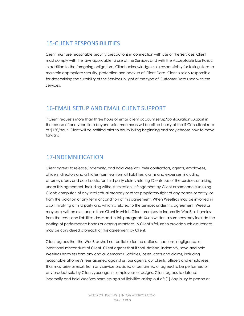## 15-CLIENT RESPONSIBILITIES

Client must use reasonable security precautions in connection with use of the Services. Client must comply with the laws applicable to use of the Services and with the Acceptable Use Policy. In addition to the foregoing obligations, Client acknowledges sole responsibility for taking steps to maintain appropriate security, protection and backup of Client Data. Cient is solely responsible for determining the suitability of the Services in light of the type of Customer Data used with the Services.

## 16-EMAIL SETUP AND EMAIL CLIENT SUPPORT

If Client requests more than three hours of email client account setup/configuration support in the course of one year, time beyond said three hours will be billed hourly at the IT Consultant rate of \$150/hour. Client will be notified prior to hourly billing beginning and may choose how to move forward.

## 17-INDEMNIFICATION

Client agrees to release, indemnify, and hold WeeBros, their contractors, agents, employees, officers, directors and affiliates harmless from all liabilities, claims and expenses, including attorney's fees and court costs, for third party claims relating Clients use of the services or arising under this agreement, including without limitation, infringement by Client or someone else using Clients computer, of any intellectual property or other proprietary right of any person or entity, or from the violation of any term or condition of this agreement. When WeeBros may be involved in a suit involving a third party and which is related to the services under this agreement, WeeBros may seek written assurances from Client in which Client promises to indemnify WeeBros harmless from the costs and liabilities described in this paragraph. Such written assurances may include the posting of performance bonds or other guarantees. A Client's failure to provide such assurances may be considered a breach of this agreement by Client.

Client agrees that the WeeBros shall not be liable for the actions, inactions, negligence, or intentional misconduct of Client. Client agrees that it shall defend, indemnify, save and hold WeeBros harmless from any and all demands, liabilities, losses, costs and claims, including reasonable attorney's fees asserted against us, our agents, our clients, officers and employees, that may arise or result from any service provided or performed or agreed to be performed or any product sold by Client, your agents, employees or assigns. Client agrees to defend, indemnify and hold WeeBros harmless against liabilities arising out of; (1) Any injury to person or